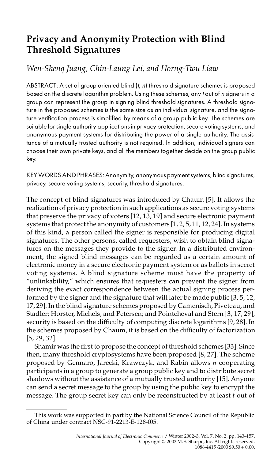# **Privacy and Anonymity Protection with Blind Threshold Signatures**

# *Wen-Shenq Juang, Chin-Laung Lei, and Horng-Twu Liaw*

ABSTRACT: A set of group-oriented blind (*t*, *n*) threshold signature schemes is proposed based on the discrete logarithm problem. Using these schemes, any *t* out of *n* signers in a group can represent the group in signing blind threshold signatures. A threshold signature in the proposed schemes is the same size as an individual signature, and the signature verification process is simplified by means of a group public key. The schemes are suitable for single-authority applications in privacy protection, secure voting systems, and anonymous payment systems for distributing the power of a single authority. The assistance of a mutually trusted authority is not required. In addition, individual signers can choose their own private keys, and all the members together decide on the group public key.

KEY WORDS AND PHRASES: Anonymity, anonymous payment systems, blind signatures, privacy, secure voting systems, security, threshold signatures.

The concept of blind signatures was introduced by Chaum [5]. It allows the realization of privacy protection in such applications as secure voting systems that preserve the privacy of voters [12, 13, 19] and secure electronic payment systems that protect the anonymity of customers [1, 2, 5, 11, 12, 24]. In systems of this kind, a person called the signer is responsible for producing digital signatures. The other persons, called requesters, wish to obtain blind signatures on the messages they provide to the signer. In a distributed environment, the signed blind messages can be regarded as a certain amount of electronic money in a secure electronic payment system or as ballots in secret voting systems. A blind signature scheme must have the property of "unlinkability," which ensures that requesters can prevent the signer from deriving the exact correspondence between the actual signing process performed by the signer and the signature that will later be made public [3, 5, 12, 17, 29]. In the blind signature schemes proposed by Camenisch, Piveteau, and Stadler; Horster, Michels, and Petersen; and Pointcheval and Stern [3, 17, 29], security is based on the difficulty of computing discrete logarithms [9, 28]. In the schemes proposed by Chaum, it is based on the difficulty of factorization [5, 29, 32].

Shamir was the first to propose the concept of threshold schemes [33]. Since then, many threshold cryptosystems have been proposed [8, 27]. The scheme proposed by Gennaro, Jarecki, Krawczyk, and Rabin allows *n* cooperating participants in a group to generate a group public key and to distribute secret shadows without the assistance of a mutually trusted authority [15]. Anyone can send a secret message to the group by using the public key to encrypt the message. The group secret key can only be reconstructed by at least *t* out of

This work was supported in part by the National Science Council of the Republic of China under contract NSC-91-2213-E-128-005.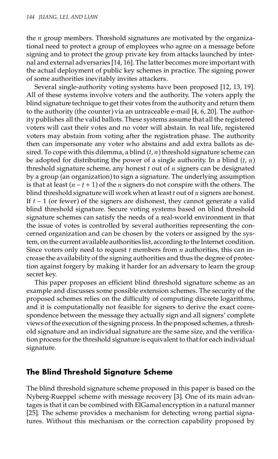the *n* group members. Threshold signatures are motivated by the organizational need to protect a group of employees who agree on a message before signing and to protect the group private key from attacks launched by internal and external adversaries [14, 16]. The latter becomes more important with the actual deployment of public key schemes in practice. The signing power of some authorities inevitably invites attackers.

Several single-authority voting systems have been proposed [12, 13, 19]. All of these systems involve voters and the authority. The voters apply the blind signature technique to get their votes from the authority and return them to the authority (the counter) via an untraceable e-mail [4, 6, 20]. The authority publishes all the valid ballots. These systems assume that all the registered voters will cast their votes and no voter will abstain. In real life, registered voters may abstain from voting after the registration phase. The authority then can impersonate any voter who abstains and add extra ballots as desired. To cope with this dilemma, a blind  $(t, n)$  threshold signature scheme can be adopted for distributing the power of a single authority. In a blind (*t*, *n*) threshold signature scheme, any honest *t* out of *n* signers can be designated by a group (an organization) to sign a signature. The underlying assumption is that at least  $(n - t + 1)$  of the *n* signers do not conspire with the others. The blind threshold signature will work when at least *t* out of *n* signers are honest. If  $t - 1$  (or fewer) of the signers are dishonest, they cannot generate a valid blind threshold signature. Secure voting systems based on blind threshold signature schemes can satisfy the needs of a real-world environment in that the issue of votes is controlled by several authorities representing the concerned organization and can be chosen by the voters or assigned by the system, on the current available authorities list, according to the Internet condition. Since voters only need to request *t* members from *n* authorities, this can increase the availability of the signing authorities and thus the degree of protection against forgery by making it harder for an adversary to learn the group secret key.

This paper proposes an efficient blind threshold signature scheme as an example and discusses some possible extension schemes. The security of the proposed schemes relies on the difficulty of computing discrete logarithms, and it is computationally not feasible for signers to derive the exact correspondence between the message they actually sign and all signers' complete views of the execution of the signing process. In the proposed schemes, a threshold signature and an individual signature are the same size, and the verification process for the threshold signature is equivalent to that for each individual signature.

## **The Blind Threshold Signature Scheme**

The blind threshold signature scheme proposed in this paper is based on the Nyberg-Rueppel scheme with message recovery [3]. One of its main advantages is that it can be combined with ElGamal encryption in a natural manner [25]. The scheme provides a mechanism for detecting wrong partial signatures. Without this mechanism or the correction capability proposed by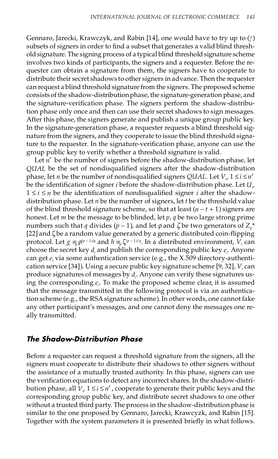Gennaro, Jarecki, Krawczyk, and Rabin [14], one would have to try up to ( *tn*) subsets of signers in order to find a subset that generates a valid blind threshold signature. The signing process of a typical blind threshold signature scheme involves two kinds of participants, the signers and a requester. Before the requester can obtain a signature from them, the signers have to cooperate to distribute their secret shadows to other signers in advance. Then the requester can request a blind threshold signature from the signers. The proposed scheme consists of the shadow-distribution phase, the signature-generation phase, and the signature-verification phase. The signers perform the shadow-distribution phase only once and then can use their secret shadows to sign messages. After this phase, the signers generate and publish a unique group public key. In the signature-generation phase, a requester requests a blind threshold signature from the signers, and they cooperate to issue the blind threshold signature to the requester. In the signature-verification phase, anyone can use the group public key to verify whether a threshold signature is valid.

Let  $n'$  be the number of signers before the shadow-distribution phase, let *QUAL* be the set of nondisqualified signers after the shadow-distribution phase, let *n* be the number of nondisqualified signers *QUAL*. Let  $V_i$ ,  $1 \le i \le n'$ be the identification of signer *i* before the shadow-distribution phase. Let *Ui,*  $1 \le i \le n$  be the identification of nondisqualified signer *i* after the shadowdistribution phase. Let *n* be the number of signers, let *t* be the threshold value of the blind threshold signature scheme, so that at least  $(n - t + 1)$  signers are honest. Let *m* be the message to be blinded, let *p*, *q* be two large strong prime numbers such that *q* divides (*p* – 1), and let *p* and  $\zeta$  be two generators of  $Z_n^*$ [22] and  $\zeta$  be a random value generated by a generic distributed coin-flipping protocol. Let  $g \equiv_p \rho^{(p-1)/q}$  and  $h \equiv_p \zeta^{(p-1)/q}$ . In a distributed environment,  $V_i$  can choose the secret key *d<sup>i</sup>* and publish the corresponding public key *ei*. Anyone can get *e<sup>i</sup>* via some authentication service (e.g., the X.509 directory-authentication service [34]). Using a secure public key signature scheme [9, 32], *V<sup>i</sup>* can produce signatures of messages by *di*. Anyone can verify these signatures using the corresponding *ei*. To make the proposed scheme clear, it is assumed that the message transmitted in the following protocol is via an authentication scheme (e.g., the RSA signature scheme). In other words, one cannot fake any other participant's messages, and one cannot deny the messages one really transmitted.

### *The Shadow-Distribution Phase*

Before a requester can request a threshold signature from the signers, all the signers must cooperate to distribute their shadows to other signers without the assistance of a mutually trusted authority. In this phase, signers can use the verification equations to detect any incorrect shares. In the shadow-distribution phase, all  $V_i$ ,  $1 \le i \le n'$ , cooperate to generate their public keys and the corresponding group public key, and distribute secret shadows to one other without a trusted third party. The process in the shadow-distribution phase is similar to the one proposed by Gennaro, Jarecki, Krawcyzk, and Rabin [15]. Together with the system parameters it is presented briefly in what follows.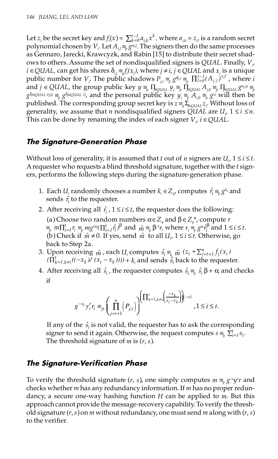Let  $z_i$  be the secret key and  $f_i(x) = \sum_{k=0}^{t-l} a_{i,k} x^k$ , where  $a_{i,0} = z_i$ , is a random secret polynomial chosen by  $V_i$ . Let  $A_{i,l}$   $\equiv_{p}$   $g^{a_{i,l}}$ . The signers then do the same processes as Gennaro, Jarecki, Krawcyzk, and Rabin [15] to distribute their secret shadows to others. Assume the set of nondisqualified signers is *QUAL*. Finally, *Vi,*  $i \in QUAL$ , can get his shares  $\delta_{i,j} \equiv q f_i(x_j)$ , where  $j \neq i$ ,  $j \in QUAL$  and  $x_j$  is a unique public number for  $V_j$ . The public shadows  $P_{j,i} = g^{\delta_{j,i}} = \prod_{l=0}^{t-1} (A_{j,l})^{x_i l}$ , where  $i$ and  $j \in QUAL$ , the group public key  $y = p \prod_{f \in QUAL} y_f = p \prod_{f \in QUAL} A_{j,0} = p \prod_{f \in QUAL} g^{a_{j,0}} = p$  $g^{x_j}$  $g(x_l)$   $\equiv_p g^{x_j}$  $g^{y_j}$  $\equiv_p g^{x_l}$  and the personal public key  $y_i \equiv_p A_{i,0} \equiv_p g^{x_i}$  will then be published. The corresponding group secret key is  $z = \sum_{q} \sum_{q}$  Without loss of generality, we assume that *n* nondisqualified signers QUAL are  $U_i$ ,  $1 \le i \le n$ . This can be done by renaming the index of each signer  $V_i$ ,  $i \in QUAL$ .

# *The Signature-Generation Phase*

Without loss of generality, it is assumed that *t* out of *n* signers are  $U_i$ ,  $1 \le i \le t$ . A requester who requests a blind threshold signature, together with the *t* signers, performs the following steps during the signature-generation phase.

- 1. Each  $U_i$  randomly chooses a number  $k_i \in Z_q$ , computes  $\hat{r_i} = g^{k_i}$  and sends  $\hat{r}_i$  to the requester.
- 2. After receiving all  $\hat{r}_i$ ,  $1 \le i \le t$ , the requester does the following: (a) Choose two random numbers  $\alpha \in Z_a$  and  $\beta \in Z_a^*$ , compute *r*  $\equiv_p m \prod_{i=1}^t r_i \equiv_p m g^{t\alpha} (\prod_{i=1}^t \hat{r}_i)^{\beta}$  and  $\hat{m} \equiv_q \beta^{1} r$ , where  $r_i \equiv_p g^{\alpha} \hat{r}_i^{\beta}$  and  $1 \le i \le t$ . (b) Check if  $\hat{m} \neq 0$ . If yes, send  $\hat{m}$  to all  $U_i$ ,  $1 \leq i \leq t$ . Otherwise, go back to Step 2a.
- 3. Upon receiving  $\hat{m}$ , each  $U_i$  computes  $\hat{s}_i \equiv q_i \hat{m} (z_i + \sum_{j=t+1}^n f_j(x_i))$  $(\prod_{k=1,k\neq i}^{t}((-x_k) \tilde{J}(x_i-x_k)))) + k_i$  and sends  $\hat{s}_i$  back to the requester.
- 4. After receiving all  $\hat{s}_i$ , the requester computes  $\hat{s}_i \equiv \hat{s}_i \beta + \alpha$ , and checks if

$$
g^{-s_i}y_i^r r_i \equiv_p \left(\prod_{j=t+1}^n \left(P_{j,i}\right)\right)^{\left(\prod_{k=1, k\neq i}^t \left(\frac{-x_k}{x_i - x_k}\right)\right)(-r)}, 1 \leq i \leq t.
$$

If any of the  $\hat{s}$ <sub>*i*</sub> is not valid, the requester has to ask the corresponding signer to send it again. Otherwise, the request computes  $s =_{q} \sum_{i=1}^{t} s_i$ . The threshold signature of *m* is (*r*, *s*).

# *The Signature-Verification Phase*

To verify the threshold signature (*r*, *s*), one simply computes  $m \equiv_p g^{-s}y^{r}r$  and checks whether *m* has any redundancy information. If *m* has no proper redundancy, a secure one-way hashing function *H* can be applied to *m*. But this approach cannot provide the message-recovery capability. To verify the threshold signature (*r*,*s*)on *m* without redundancy, one must send *m* along with (*r*, *s*) to the verifier*.*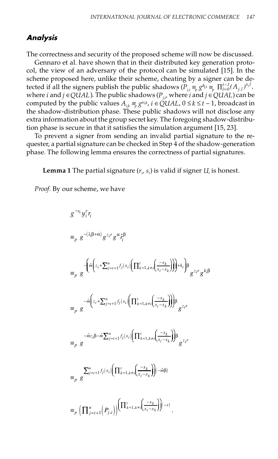### *Analysis*

The correctness and security of the proposed scheme will now be discussed.

Gennaro et al. have shown that in their distributed key generation protocol, the view of an adversary of the protocol can be simulated [15]. In the scheme proposed here, unlike their scheme, cheating by a signer can be detected if all the signers publish the public shadows  $(P_{j,i} \equiv p g^{\delta_{j,i}} \equiv p \prod_{l=0}^{t-1} (A_{j,l})^{x_i l}$ , where *i* and *j*  $\in$  *QUAL*). The public shadows ( $P_{ij}$ , where *i* and *j*  $\in$  *QUAL*) can be computed by the public values  $A_{i,k} \equiv_p g^{a_{i,k}}, i \in QUAL$ ,  $0 \le k \le t-1$ , broadcast in the shadow-distribution phase. These public shadows will not disclose any extra information about the group secret key. The foregoing shadow-distribution phase is secure in that it satisfies the simulation argument [15, 23].

To prevent a signer from sending an invalid partial signature to the requester, a partial signature can be checked in Step 4 of the shadow-generation phase. The following lemma ensures the correctness of partial signatures.

**Lemma 1** The partial signature  $(r_i, s_i)$  is valid if signer  $U_i$  is honest.

*Proof.* By our scheme, we have

$$
g^{-s_i} y_i^r r_i
$$
\n
$$
\equiv_p g^{-\left(\hat{s}_i \beta + \alpha\right)} g^{z_i r} g^{\alpha} \hat{r}_i^{\beta}
$$
\n
$$
\equiv_p g^{-\left(\hat{m}\left(z_i + \sum_{j=i+1}^n f_j(x_i) \left(\prod_{k=1, k \neq i}^t \left(\frac{-x_k}{x_i - x_k}\right)\right)\right) + k_i\right) \beta} g^{z_i r} g^{k_i \beta}
$$
\n
$$
\equiv_p g^{-\hat{m}\left(z_i + \sum_{j=i+1}^n f_j(x_i) \left(\prod_{k=1, k \neq i}^t \left(\frac{-x_k}{x_i - x_k}\right)\right)\right) \beta} g^{z_i r}
$$
\n
$$
\equiv_p g^{-\hat{m} z_i \beta - \hat{m} \sum_{j=i+1}^n f_j(x_i) \left(\prod_{k=1, k \neq i}^t \left(\frac{-x_k}{x_i - x_k}\right)\right) \beta} g^{z_i r}
$$
\n
$$
\equiv_p g^{-\sum_{j=i+1}^n f_j(x_i) \left(\prod_{k=1, k \neq i}^t \left(\frac{-x_k}{x_i - x_k}\right)\right) (-\hat{m} \beta)}
$$
\n
$$
\equiv_p \left(\prod_{j=i+1}^n \left(P_{j,i}\right)\right) \left(\prod_{k=1, k \neq i}^t \left(\frac{-x_k}{x_i - x_k}\right)\right) (-r).
$$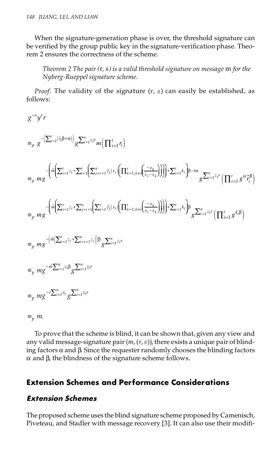When the signature-generation phase is over, the threshold signature can be verified by the group public key in the signature-verification phase. Theorem 2 ensures the correctness of the scheme.

*Theorem 2 The pair (*r*,* s*) is a valid threshold signature on message* m *for the Nyberg-Rueppel signature scheme*.

*Proof.* The validity of the signature (*r*, *s*) can easily be established, as follows:

 $g^{-s}y^r r$  $\sum_{i=1}^{N} \sum_{j=1}^{N} z_i P^{+} \alpha_j = \sum_{i=1}^{N} z_i P^{+} \sum_{i=1}^{N} r_i$  $\int_{p}^{t}g^{-\left(\sum_{i=1}^{t}(\hat{s}_{i}\beta+\alpha)\right)}g^{\sum_{i=1}^{n}z_{i}r}m\left(\prod_{i=1}^{t}r_{i}\right)$  $\equiv_p g^{-\left(\sum_{i=1}^l (\hat{s}_i \beta + \alpha)\right)} g^{\sum_{i=1}^n z_i r} m\left(\prod_{i=1}^t r_i\right)$  $(x_i)$  | |  $\begin{pmatrix} 1 & 1 & i=1 \\ 0 & 1 & i \end{pmatrix}$  $\sum_{p} m g^{-\left[m\left(\sum_{i=1}^t z_i + \sum_{i=1}^t \left(\sum_{j=t+1}^n f_j(x_i)\left(\prod_{k=1, k\neq i}^t \left(\frac{-x_k}{x_i-x_k}\right)\right)\right)\right] + \sum_{i=1}^t k_i\right]\beta - t\alpha} g^{\sum_{i=1}^n z_i r} \left(\prod_{i=1}^t g^{\alpha} \hat{r}_i^{\beta}\right)^{\alpha}$  $\hat{n}$  $e^{-\mathbf{1} \cdot \mathbf{x}_i \cdot \mathbf{z}_i} \mathcal{L}_{i=1}[\mathcal{L}_{j=t+1}^{j_{j=t+1} \cdot j_{j+1}}(\mathbf{1} \mathbf{1}_{k=1,k\neq i}(\mathbf{x}_i - \mathbf{x}_k)))] \mathcal{L}_{i=1}^{n_{i}} \mathcal{P} \mathcal{L}_{i=1}^{n_{i}} \mathcal{L}_{i}^{n_{i}} \left( \prod_{i=1}^{t} g^{\alpha} \hat{r}_i^{\beta} \right)$  $\equiv_p mg^{-\left[\hat{m}\left[\sum_{i=1}^t z_i + \sum_{i=1}^t \left[\sum_{j=t+1}^n f_j(x_i)\left[\prod_{k=1, k\neq i}^t \left(\frac{-x_k}{x_i - x_k}\right)\right]\right]\right] + \sum_{i=1}^t k_i\right]}g^{\sum_{i=1}^n z_i r} \left(\prod_{i=1}^t g^{\alpha} \hat{r}_i^{\beta}\right)$  $(x_i)$  | |  $\begin{pmatrix} 1 & 1 & i=1 \\ 0 & 1 & i \end{pmatrix}$  $\int_{t=1}^{t} z_i + \sum_{j=t+1}^{n} \left[ \sum_{i=1}^{t} f_j(x_i) \left[ \prod_{k=1, k \neq i}^{t} \left( \frac{-x_k}{x_i - x_k} \right) \right] \right] \right) + \sum_{i=1}^{t} k_i \int_{0}^{t} \sum_{i=1}^{n} z_i r \left( \prod_{i=1, j \neq i}^{t} \left( \frac{-x_k}{x_i - x_j} \right) \right)$  $\int_{R} mg \left[ m \left( \sum_{i=1}^{t} z_i + \sum_{j=t+1}^{n} \left( \sum_{i=1}^{t} f_j(x_i) \left( \prod_{k=1, k \neq i}^{t} \left( \frac{-x_k}{x_i - x_k} \right) \right) \right) \right] + \sum_{i=1}^{t} k_i \right] \right]$  $\hat{n}$  $15<sub>1</sub>$  $=1^{2i} \sum_{j=t+1}^{\infty} \left( \sum_{i=1}^{j} (x_i)^{k} \right) \left( \prod_{k=1, k\neq i}^{\infty} (x_i - x_k)^{k} \right) \left( \sum_{i=1}^{k} \sum_{i=1}^{n} z_i \right)$  $\equiv_p mg^{-\left(\hat{m}\left[\sum_{i=1}^t z_i + \sum_{j=t+1}^n \left(\sum_{i=1}^t f_j(x_i) \left(\prod_{k=1,k\neq i}^t \left(\frac{-x_k}{x_i-x_k}\right)\right)\right)\right] + \sum_{i=1}^t k_i\right)}g^{\sum_{i=1}^n z_i r} \left(\prod_{i=1}^t g^{k_i \beta}\right)$  $\int_{\mathbb{F}_p} mg^{-\left(\hat{m}\left(\sum_{i=1}^l z_i + \sum_{i=t+1}^n z_i\right)\right]\beta} g^{\sum_{i=1}^n z_i r}$  $\equiv_p mg^{-\hat{m}\sum_{i=1}^n z_i\beta}g^{\sum_{i=1}^n z_i r}$  $\equiv_p mg^{-r\sum_{i=1}^n z_i} g^{\sum_{i=1}^n z_i r}$ 

 $\equiv$ <sub>*p</sub>*  $m$ .</sub>

To prove that the scheme is blind, it can be shown that, given any view and any valid message-signature pair (*m*, (*r*,*s*)), there exists a unique pair of blinding factors  $\alpha$  and  $\beta$ . Since the requester randomly chooses the blinding factors  $\alpha$  and  $\beta$ , the blindness of the signature scheme follows.

### **Extension Schemes and Performance Considerations**

### *Extension Schemes*

The proposed scheme uses the blind signature scheme proposed by Camenisch, Piveteau, and Stadler with message recovery [3]. It can also use their modifi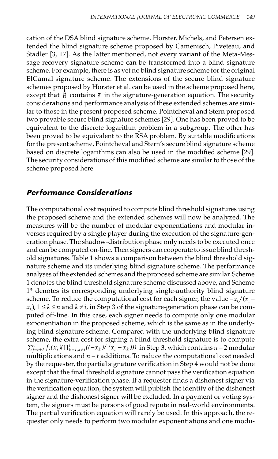cation of the DSA blind signature scheme. Horster, Michels, and Petersen extended the blind signature scheme proposed by Camenisch, Piveteau, and Stadler [3, 17]. As the latter mentioned, not every variant of the Meta-Message recovery signature scheme can be transformed into a blind signature scheme. For example, there is as yet no blind signature scheme for the original ElGamal signature scheme. The extensions of the secure blind signature schemes proposed by Horster et al. can be used in the scheme proposed here, except that  $\tilde{B}$  contains  $\tilde{s}$  in the signature-generation equation. The security considerations and performance analysis of these extended schemes are similar to those in the present proposed scheme. Pointcheval and Stern proposed two provable secure blind signature schemes [29]. One has been proved to be equivalent to the discrete logarithm problem in a subgroup. The other has been proved to be equivalent to the RSA problem. By suitable modifications for the present scheme, Pointcheval and Stern's secure blind signature scheme based on discrete logarithms can also be used in the modified scheme [29]. The security considerations of this modified scheme are similar to those of the scheme proposed here.

### *Performance Considerations*

The computational cost required to compute blind threshold signatures using the proposed scheme and the extended schemes will now be analyzed. The measures will be the number of modular exponentiations and modular inverses required by a single player during the execution of the signature-generation phase. The shadow-distribution phase only needs to be executed once and can be computed on-line. Then signers can cooperate to issue blind threshold signatures. Table 1 shows a comparison between the blind threshold signature scheme and its underlying blind signature scheme. The performance analyses of the extended schemes and the proposed scheme are similar. Scheme 1 denotes the blind threshold signature scheme discussed above, and Scheme 1\* denotes its corresponding underlying single-authority blind signature scheme. To reduce the computational cost for each signer, the value  $-x_k/(x_i$  $x_k$ ),  $1 \le k \le n$  and  $k \ne i$ , in Step 3 of the signature-generation phase can be computed off-line. In this case, each signer needs to compute only one modular exponentiation in the proposed scheme, which is the same as in the underlying blind signature scheme. Compared with the underlying blind signature scheme, the extra cost for signing a blind threshold signature is to compute  $\prod_{j=t+1}^{n} f_j(x_i) (\prod_{k=1, k\neq i}^{t} ((-\alpha_k)/(x_i-\alpha_k)))$  in Step 3, which contains  $n-2$  modular multiplications and  $n - t$  additions. To reduce the computational cost needed by the requester, the partial signature verification in Step 4 would not be done except that the final threshold signature cannot pass the verification equation in the signature-verification phase. If a requester finds a dishonest signer via the verification equation, the system will publish the identity of the dishonest signer and the dishonest signer will be excluded. In a payment or voting system, the signers must be persons of good repute in real-world environments. The partial verification equation will rarely be used. In this approach, the requester only needs to perform two modular exponentiations and one modu-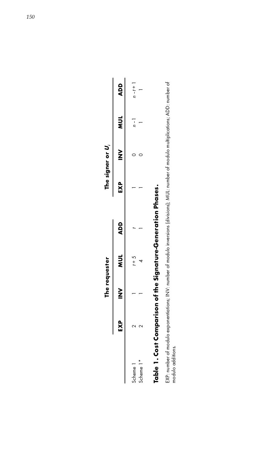|                      |     | The requester |             |     |     | The signer or $U_i$ |               |             |
|----------------------|-----|---------------|-------------|-----|-----|---------------------|---------------|-------------|
|                      | EXP | ≧<br>≧        | MUL         | ADD | EXP | ≧<br>≦              | <b>MUL</b>    | ADD         |
| Scheme 1             |     |               | $\zeta + 1$ |     |     |                     | $\frac{1}{2}$ | $n - t + 1$ |
| Scheme <sup>1*</sup> |     |               | 4           |     |     |                     |               |             |
|                      |     |               |             |     |     |                     |               |             |

# Table 1. Cost Comparison of the Signature-Generation Phases.

EXP: number of modulo exponentiations; INV: number of modulo inversions (divisions); MUL: number of modulo multiplications; ADD: number of Table 1. Cost Comparison of the Signature-Generation Phases.<br>EXP: number of modulo exponentiations; INV: number of modulo inversions (divisions); MUL: number of modulo multiplications; ADD: number of<br>modulo additions. modulo additions.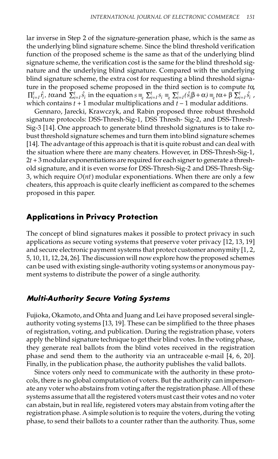lar inverse in Step 2 of the signature-generation phase, which is the same as the underlying blind signature scheme. Since the blind threshold verification function of the proposed scheme is the same as that of the underlying blind signature scheme, the verification cost is the same for the blind threshold signature and the underlying blind signature. Compared with the underlying blind signature scheme, the extra cost for requesting a blind threshold signature in the proposed scheme proposed in the third section is to compute *t*a,  $\prod_{i=1}^t \hat{r}_i$ , ta and  $\sum_{i=1}^t \hat{s}_i$  in the equation  $s = \sum_{i=1}^t s_i = \sum_{i=1}^t (\hat{s}_i \beta + \alpha) = \sum_{i=1}^t \alpha + \beta \sum_{i=1}^t \hat{s}_i$ , which contains  $t + 1$  modular multiplications and  $t - 1$  modular additions.

Gennaro, Jarecki, Krawczyk, and Rabin proposed three robust threshold signature protocols: DSS-Thresh-Sig-1, DSS Thresh- Sig-2, and DSS-Thresh-Sig-3 [14]. One approach to generate blind threshold signatures is to take robust threshold signature schemes and turn them into blind signature schemes [14]. The advantage of this approach is that it is quite robust and can deal with the situation where there are many cheaters. However, in DSS-Thresh-Sig-1, 2*t* + 3 modular exponentiations are required for each signer to generate a threshold signature, and it is even worse for DSS-Thresh-Sig-2 and DSS-Thresh-Sig-3, which require *O*(*nt*) modular exponentiations. When there are only a few cheaters, this approach is quite clearly inefficient as compared to the schemes proposed in this paper.

# **Applications in Privacy Protection**

The concept of blind signatures makes it possible to protect privacy in such applications as secure voting systems that preserve voter privacy [12, 13, 19] and secure electronic payment systems that protect customer anonymity [1, 2, 5, 10, 11, 12, 24, 26]. The discussion will now explore how the proposed schemes can be used with existing single-authority voting systems or anonymous payment systems to distribute the power of a single authority.

# *Multi-Authority Secure Voting Systems*

Fujioka, Okamoto, and Ohta and Juang and Lei have proposed several singleauthority voting systems [13, 19]. These can be simplified to the three phases of registration, voting, and publication. During the registration phase, voters apply the blind signature technique to get their blind votes. In the voting phase, they generate real ballots from the blind votes received in the registration phase and send them to the authority via an untraceable e-mail [4, 6, 20]. Finally, in the publication phase, the authority publishes the valid ballots.

Since voters only need to communicate with the authority in these protocols, there is no global computation of voters. But the authority can impersonate any voter who abstains from voting after the registration phase. All of these systems assume that all the registered voters must cast their votes and no voter can abstain, but in real life, registered voters may abstain from voting after the registration phase. A simple solution is to require the voters, during the voting phase, to send their ballots to a counter rather than the authority. Thus, some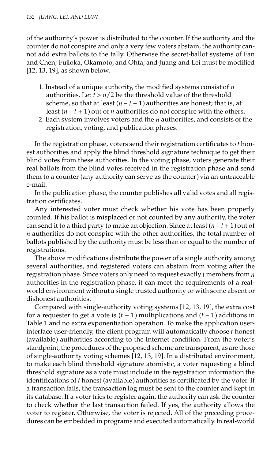of the authority's power is distributed to the counter. If the authority and the counter do not conspire and only a very few voters abstain, the authority cannot add extra ballots to the tally. Otherwise the secret-ballot systems of Fan and Chen; Fujioka, Okamoto, and Ohta; and Juang and Lei must be modified [12, 13, 19], as shown below.

- 1. Instead of a unique authority, the modified systems consist of *n* authorities. Let  $t > n/2$  be the threshold value of the threshold scheme, so that at least  $(n - t + 1)$  authorities are honest; that is, at least  $(n - t + 1)$  out of *n* authorities do not conspire with the others.
- 2. Each system involves voters and the *n* authorities, and consists of the registration, voting, and publication phases.

In the registration phase, voters send their registration certificates to *t* honest authorities and apply the blind threshold signature technique to get their blind votes from these authorities. In the voting phase, voters generate their real ballots from the blind votes received in the registration phase and send them to a counter (any authority can serve as the counter) via an untraceable e-mail.

In the publication phase, the counter publishes all valid votes and all registration certificates.

Any interested voter must check whether his vote has been properly counted. If his ballot is misplaced or not counted by any authority, the voter can send it to a third party to make an objection. Since at least  $(n - t + 1)$  out of *n* authorities do not conspire with the other authorities, the total number of ballots published by the authority must be less than or equal to the number of registrations.

The above modifications distribute the power of a single authority among several authorities, and registered voters can abstain from voting after the registration phase. Since voters only need to request exactly *t* members from *n* authorities in the registration phase, it can meet the requirements of a realworld environment without a single trusted authority or with some absent or dishonest authorities.

Compared with single-authority voting systems [12, 13, 19], the extra cost for a requester to get a vote is  $(t + 1)$  multiplications and  $(t - 1)$  additions in Table 1 and no extra exponentiation operation. To make the application userinterface user-friendly, the client program will automatically choose *t* honest (available) authorities according to the Internet condition. From the voter's standpoint, the procedures of the proposed scheme are transparent, as are those of single-authority voting schemes [12, 13, 19]. In a distributed environment, to make each blind threshold signature atomistic, a voter requesting a blind threshold signature as a vote must include in the registration information the identifications of *t* honest (available) authorities as certificated by the voter. If a transaction fails, the transaction log must be sent to the counter and kept in its database. If a voter tries to register again, the authority can ask the counter to check whether the last transaction failed. If yes, the authority allows the voter to register. Otherwise, the voter is rejected. All of the preceding procedures can be embedded in programs and executed automatically. In real-world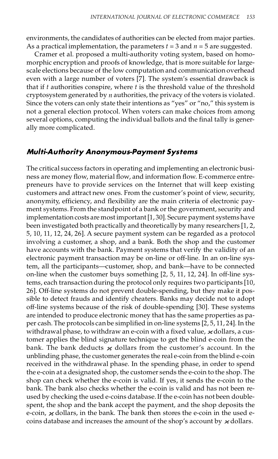environments, the candidates of authorities can be elected from major parties. As a practical implementation, the parameters  $t = 3$  and  $n = 5$  are suggested.

Cramer et al. proposed a multi-authority voting system, based on homomorphic encryption and proofs of knowledge, that is more suitable for largescale elections because of the low computation and communication overhead even with a large number of voters [7]. The system's essential drawback is that if *t* authorities conspire, where *t* is the threshold value of the threshold cryptosystem generated by *n* authorities, the privacy of the voters is violated. Since the voters can only state their intentions as "yes" or "no," this system is not a general election protocol. When voters can make choices from among several options, computing the individual ballots and the final tally is generally more complicated.

### *Multi-Authority Anonymous-Payment Systems*

The critical success factors in operating and implementing an electronic business are money flow, material flow, and information flow. E-commerce entrepreneurs have to provide services on the Internet that will keep existing customers and attract new ones. From the customer's point of view, security, anonymity, efficiency, and flexibility are the main criteria of electronic payment systems. From the standpoint of a bank or the government, security and implementation costs are most important [1, 30]. Secure payment systems have been investigated both practically and theoretically by many researchers [1, 2, 5, 10, 11, 12, 24, 26]. A secure payment system can be regarded as a protocol involving a customer, a shop, and a bank. Both the shop and the customer have accounts with the bank. Payment systems that verify the validity of an electronic payment transaction may be on-line or off-line. In an on-line system, all the participants—customer, shop, and bank—have to be connected on-line when the customer buys something [2, 5, 11, 12, 24]. In off-line systems, each transaction during the protocol only requires two participants [10, 26]. Off-line systems do not prevent double-spending, but they make it possible to detect frauds and identify cheaters. Banks may decide not to adopt off-line systems because of the risk of double-spending [30]. These systems are intended to produce electronic money that has the same properties as paper cash. The protocols can be simplified in on-line systems [2, 5, 11, 24]. In the withdrawal phase, to withdraw an e-coin with a fixed value,  $\varkappa$  dollars, a customer applies the blind signature technique to get the blind e-coin from the bank. The bank deducts  $\varkappa$  dollars from the customer's account. In the unblinding phase, the customer generates the real e-coin from the blind e-coin received in the withdrawal phase. In the spending phase, in order to spend the e-coin at a designated shop, the customer sends the e-coin to the shop. The shop can check whether the e-coin is valid. If yes, it sends the e-coin to the bank. The bank also checks whether the e-coin is valid and has not been reused by checking the used e-coins database. If the e-coin has not been doublespent, the shop and the bank accept the payment, and the shop deposits the e-coin,  $\varkappa$  dollars, in the bank. The bank then stores the e-coin in the used ecoins database and increases the amount of the shop's account by  $\varkappa$  dollars.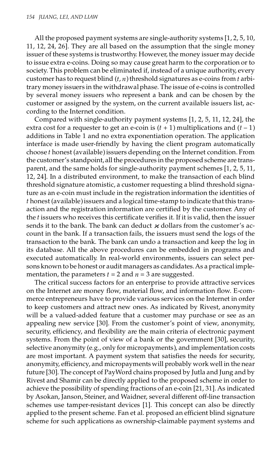All the proposed payment systems are single-authority systems [1, 2, 5, 10, 11, 12, 24, 26]. They are all based on the assumption that the single money issuer of these systems is trustworthy. However, the money issuer may decide to issue extra e-coins. Doing so may cause great harm to the corporation or to society. This problem can be eliminated if, instead of a unique authority, every customer has to request blind  $(t, n)$  threshold signatures as e-coins from  $t$  arbitrary money issuers in the withdrawal phase. The issue of e-coins is controlled by several money issuers who represent a bank and can be chosen by the customer or assigned by the system, on the current available issuers list, according to the Internet condition.

Compared with single-authority payment systems [1, 2, 5, 11, 12, 24], the extra cost for a requester to get an e-coin is  $(t + 1)$  multiplications and  $(t - 1)$ additions in Table 1 and no extra exponentiation operation. The application interface is made user-friendly by having the client program automatically choose *t* honest (available) issuers depending on the Internet condition. From the customer's standpoint, all the procedures in the proposed scheme are transparent, and the same holds for single-authority payment schemes [1, 2, 5, 11, 12, 24]. In a distributed environment, to make the transaction of each blind threshold signature atomistic, a customer requesting a blind threshold signature as an e-coin must include in the registration information the identities of *t* honest (available)issuers and a logical time-stamp to indicate that this transaction and the registration information are certified by the customer. Any of the *t* issuers who receives this certificate verifies it. If it is valid, then the issuer sends it to the bank. The bank can deduct  $\varkappa$  dollars from the customer's account in the bank. If a transaction fails, the issuers must send the logs of the transaction to the bank. The bank can undo a transaction and keep the log in its database. All the above procedures can be embedded in programs and executed automatically. In real-world environments, issuers can select persons known to be honest or audit managers as candidates. As a practical implementation, the parameters  $t = 2$  and  $n = 3$  are suggested.

The critical success factors for an enterprise to provide attractive services on the Internet are money flow, material flow, and information flow. E-commerce entrepreneurs have to provide various services on the Internet in order to keep customers and attract new ones. As indicated by Rivest, anonymity will be a valued-added feature that a customer may purchase or see as an appealing new service [30]. From the customer's point of view, anonymity, security, efficiency, and flexibility are the main criteria of electronic payment systems. From the point of view of a bank or the government [30], security, selective anonymity (e.g., only for micropayments), and implementation costs are most important. A payment system that satisfies the needs for security, anonymity, efficiency, and micropayments will probably work well in the near future [30]. The concept of PayWord chains proposed by Jutla and Jung and by Rivest and Shamir can be directly applied to the proposed scheme in order to achieve the possibility of spending fractions of an e-coin [21, 31]. As indicated by Asokan, Janson, Steiner, and Waidner, several different off-line transaction schemes use tamper-resistant devices [1]. This concept can also be directly applied to the present scheme. Fan et al. proposed an efficient blind signature scheme for such applications as ownership-claimable payment systems and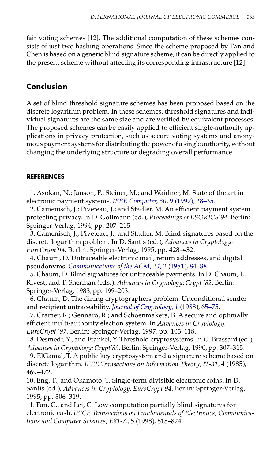fair voting schemes [12]. The additional computation of these schemes consists of just two hashing operations. Since the scheme proposed by Fan and Chen is based on a generic blind signature scheme, it can be directly applied to the present scheme without affecting its corresponding infrastructure [12].

# **Conclusion**

A set of blind threshold signature schemes has been proposed based on the discrete logarithm problem. In these schemes, threshold signatures and individual signatures are the same size and are verified by equivalent processes. The proposed schemes can be easily applied to efficient single-authority applications in privacy protection, such as secure voting systems and anonymous payment systems for distributing the power of a single authority, without changing the underlying structure or degrading overall performance.

### **REFERENCES**

1. Asokan, N.; Janson, P.; Steiner, M.; and Waidner, M. State of the art in electronic payment systems. *[IEEE Computer, 30](http://leporello.ingentaselect.com/nw=1/rpsv/cgi-bin/linker?ext=a&reqidx=/0018-9162^281997^2930:9L.28[aid=4840035])*, 9 (1997), 28–35.

2. Camenisch, J.; Piveteau, J.; and Stadler, M. An efficient payment system protecting privacy. In D. Gollmann (ed.), *Proceedings of ESORICS'94*. Berlin: Springer-Verlag, 1994, pp. 207–215.

3. Camenisch, J., Piveteau, J., and Stadler, M. Blind signatures based on the discrete logarithm problem. In D. Santis (ed.), *Advances in Cryptology-EuroCrypt'94*. Berlin: Springer-Verlag, 1995, pp. 428–432.

4. Chaum, D. Untraceable electronic mail, return addresses, and digital pseudonyms. *[Communications of the ACM, 24](http://leporello.ingentaselect.com/nw=1/rpsv/cgi-bin/linker?ext=a&reqidx=/0001-0782^281981^2924:2L.84[aid=1597229])*, 2 (1981), 84–88.

5. Chaum, D. Blind signatures for untraceable payments. In D. Chaum, L. Rivest, and T. Sherman (eds.), *Advances in Cryptology: Crypt '82.* Berlin: Springer-Verlag, 1983, pp. 199–203.

6. Chaum, D. The dining cryptographers problem: Unconditional sender and recipient untraceability. *[Journal of Cryptology, 1](http://leporello.ingentaselect.com/nw=1/rpsv/cgi-bin/linker?ext=a&reqidx=/0933-2790^281988^291L.65[aid=4840036])* (1988), 65–75.

7. Cramer, R.; Gennaro, R.; and Schoenmakers, B. A secure and optimally efficient multi-authority election system. In *Advances in Cryptology: EuroCrypt '97.* Berlin: Springer-Verlag, 1997, pp. 103–118.

8. Desmedt, Y., and Frankel, Y. Threshold cryptosystems. In G. Brassard (ed.), *Advances in Cryptology: Crypt'89.* Berlin: Springer-Verlag, 1990, pp. 307–315.

9. ElGamal, T. A public key cryptosystem and a signature scheme based on discrete logarithm. *IEEE Transactions on Information Theory, IT-31,* 4 (1985), 469–472.

10. Eng, T., and Okamoto, T. Single-term divisible electronic coins. In D. Santis (ed.), *Advances in Cryptology: EuroCrypt'94.* Berlin: Springer-Verlag, 1995, pp. 306–319.

11. Fan, C., and Lei, C. Low computation partially blind signatures for electronic cash. *IEICE Transactions on Fundamentals of Electronics, Communications and Computer Sciences, E81-A*, 5 (1998), 818–824.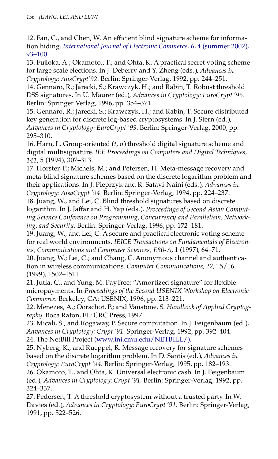12. Fan, C., and Chen, W. An efficient blind signature scheme for information hiding. *[International Journal of Electronic Commerce, 6,](http://leporello.ingentaselect.com/nw=1/rpsv/cgi-bin/linker?ext=a&reqidx=/1086-4415^28200222^296:4L.93[aid=4840038])* 4 (summer 2002), [93–100.](http://leporello.ingentaselect.com/nw=1/rpsv/cgi-bin/linker?ext=a&reqidx=/1086-4415^28200222^296:4L.93[aid=4840038])

13. Fujioka, A.; Okamoto., T.; and Ohta, K. A practical secret voting scheme for large scale elections. In J. Deberry and Y. Zheng (eds.), *Advances in Cryptology: AusCrypt'92.* Berlin: Springer-Verlag, 1992, pp. 244–251.

14. Gennaro, R.; Jarecki, S.; Krawczyk, H.; and Rabin, T. Robust threshold DSS signatures. In U. Maurer (ed.), *Advances in Cryptology: EuroCrypt '96.* Berlin: Springer Verlag, 1996, pp. 354–371.

15. Gennaro, R.; Jarecki, S.; Krawczyk, H.; and Rabin, T. Secure distributed key generation for discrete log-based cryptosystems. In J. Stern (ed.), *Advances in Cryptology: EuroCrypt '99.* Berlin: Springer-Verlag, 2000, pp. 295–310.

16. Harn, L. Group-oriented (*t*, *n*) threshold digital signature scheme and digital multisignature. *IEE Proceedings on Computers and Digital Techniques, 141,* 5 (1994), 307–313.

17. Horster, P.; Michels, M.; and Petersen, H. Meta-message recovery and meta-blind signature schemes based on the discrete logarithm problem and their applications. In J. Pieprzyk and R. Safavi-Naini (eds.), *Advances in Cryptology: AisaCrypt '94.* Berlin: Springer-Verlag, 1994, pp. 224–237.

18. Juang, W., and Lei, C. Blind threshold signatures based on discrete logarithm. In J. Jaffar and H. Yap (eds.), *Proceedings of Second Asian Computing Science Conference on Programming, Concurrency and Parallelism, Networking, and Security*. Berlin: Springer-Verlag, 1996, pp. 172–181.

19. Juang, W., and Lei, C. A secure and practical electronic voting scheme for real world environments. *IEICE Transactions on Fundamentals of Electronics, Communications and Computer Sciences, E80-A*, 1 (1997), 64–71.

20. Juang, W.; Lei, C.; and Chang, C. Anonymous channel and authentication in wireless communications. *Computer Communications, 22*, 15/16 (1999), 1502–1511.

21. Jutla, C., and Yung, M. PayTree: "Amortized signature" for flexible micropayments. In *Proceedings of the Second USENIX Workshop on Electronic Commerce.* Berkeley, CA: USENIX, 1996, pp. 213–221.

22. Menezes, A.; Oorschot, P.; and Vanstone, S. *Handbook of Applied Cryptography*. Boca Raton, FL: CRC Press, 1997.

23. Micali, S., and Rogaway, P. Secure computation. In J. Feigenbaum (ed.), *Advances in Cryptology: Crypt '91*. Springer-Verlag, 1992, pp. 392–404. 24. The NetBill Project [\(www.ini.cmu.edu/NETBILL/\).](http://www.ini.cmu.edu/NETBILL/)

25. Nyberg, K., and Rueppel, R. Message recovery for signature schemes based on the discrete logarithm problem. In D. Santis (ed.), *Advances in Cryptology: EuroCrypt '94*. Berlin: Springer-Verlag, 1995, pp. 182–193.

26. Okamoto, T., and Ohta, K. Universal electronic cash. In J. Feigenbaum (ed.), *Advances in Cryptology: Crypt '91*. Berlin: Springer-Verlag, 1992, pp. 324–337.

27. Pedersen, T. A threshold cryptosystem without a trusted party. In W. Davies (ed.), *Advances in Cryptology: EuroCrypt '91.* Berlin: Springer-Verlag, 1991, pp. 522–526.